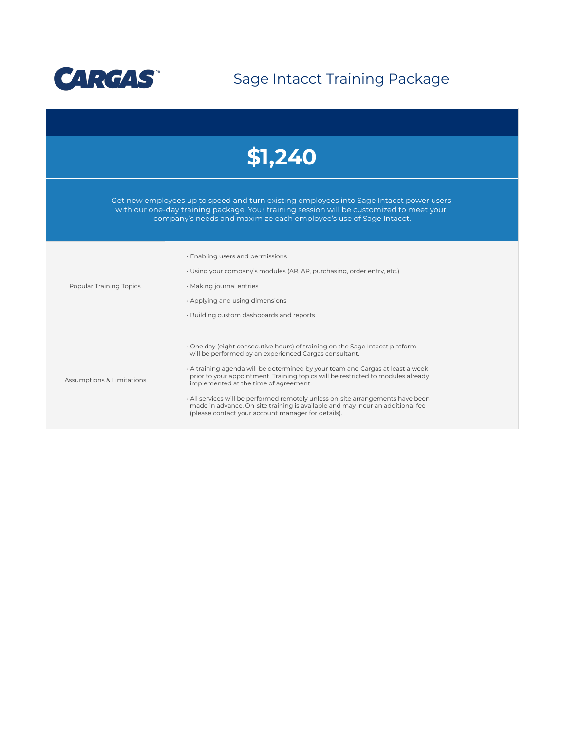

Sage Intacct Training Package



Get new employees up to speed and turn existing employees into Sage Intacct power users with our one-day training package. Your training session will be customized to meet your company's needs and maximize each employee's use of Sage Intacct.

| Popular Training Topics   | · Enabling users and permissions<br>· Using your company's modules (AR, AP, purchasing, order entry, etc.)<br>$\cdot$ Making journal entries<br>$\cdot$ Applying and using dimensions<br>. Building custom dashboards and reports                                                                                                                                                                                                                                                                                                                                            |
|---------------------------|------------------------------------------------------------------------------------------------------------------------------------------------------------------------------------------------------------------------------------------------------------------------------------------------------------------------------------------------------------------------------------------------------------------------------------------------------------------------------------------------------------------------------------------------------------------------------|
| Assumptions & Limitations | One day (eight consecutive hours) of training on the Sage Intacct platform<br>will be performed by an experienced Cargas consultant.<br>A training agenda will be determined by your team and Cargas at least a week<br>prior to your appointment. Training topics will be restricted to modules already<br>implemented at the time of agreement.<br>· All services will be performed remotely unless on-site arrangements have been<br>made in advance. On-site training is available and may incur an additional fee<br>(please contact your account manager for details). |